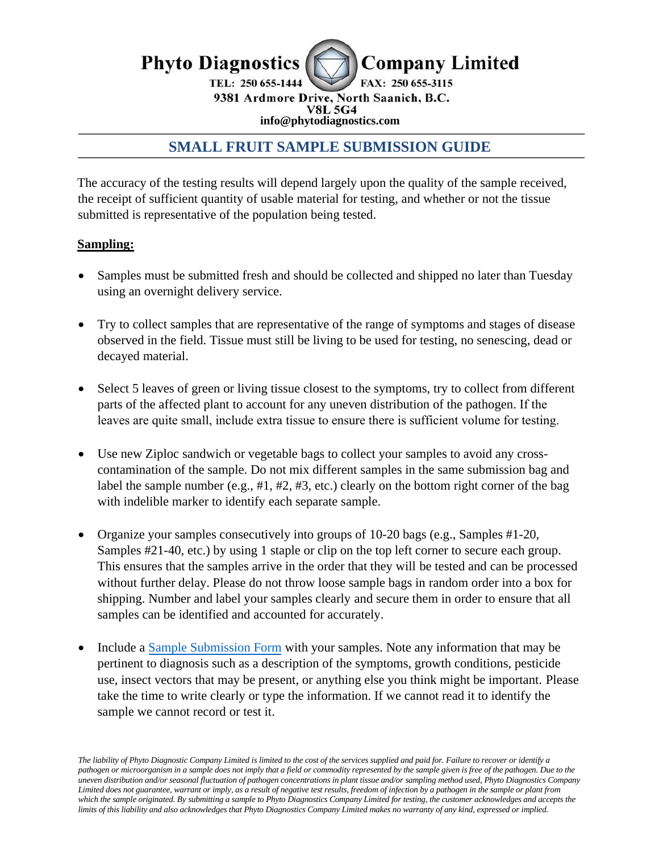

9381 Ardmore Drive, North Saanich, B.C. **info@phytodiagnostics.com**

# **SMALL FRUIT SAMPLE SUBMISSION GUIDE**

The accuracy of the testing results will depend largely upon the quality of the sample received, the receipt of sufficient quantity of usable material for testing, and whether or not the tissue submitted is representative of the population being tested.

## **Sampling:**

- Samples must be submitted fresh and should be collected and shipped no later than Tuesday using an overnight delivery service.
- Try to collect samples that are representative of the range of symptoms and stages of disease observed in the field. Tissue must still be living to be used for testing, no senescing, dead or decayed material.
- Select 5 leaves of green or living tissue closest to the symptoms, try to collect from different parts of the affected plant to account for any uneven distribution of the pathogen. If the leaves are quite small, include extra tissue to ensure there is sufficient volume for testing.
- Use new Ziploc sandwich or vegetable bags to collect your samples to avoid any crosscontamination of the sample. Do not mix different samples in the same submission bag and label the sample number (e.g., #1, #2, #3, etc.) clearly on the bottom right corner of the bag with indelible marker to identify each separate sample.
- Organize your samples consecutively into groups of 10-20 bags (e.g., Samples #1-20, Samples #21-40, etc.) by using 1 staple or clip on the top left corner to secure each group. This ensures that the samples arrive in the order that they will be tested and can be processed without further delay. Please do not throw loose sample bags in random order into a box for shipping. Number and label your samples clearly and secure them in order to ensure that all samples can be identified and accounted for accurately.
- Include a [Sample Submission Form](https://www.phytodiagnostics.com/assets/downloadable%20forms/General%20Sample%20Submission%20Form.pdf) with your samples. Note any information that may be pertinent to diagnosis such as a description of the symptoms, growth conditions, pesticide use, insect vectors that may be present, or anything else you think might be important. Please take the time to write clearly or type the information. If we cannot read it to identify the sample we cannot record or test it.

*The liability of Phyto Diagnostic Company Limited is limited to the cost of the services supplied and paid for. Failure to recover or identify a pathogen or microorganism in a sample does not imply that a field or commodity represented by the sample given is free of the pathogen. Due to the uneven distribution and/or seasonal fluctuation of pathogen concentrations in plant tissue and/or sampling method used, Phyto Diagnostics Company*  Limited does not guarantee, warrant or imply, as a result of negative test results, freedom of infection by a pathogen in the sample or plant from *which the sample originated. By submitting a sample to Phyto Diagnostics Company Limited for testing, the customer acknowledges and accepts the limits of this liability and also acknowledges that Phyto Diagnostics Company Limited makes no warranty of any kind, expressed or implied.*